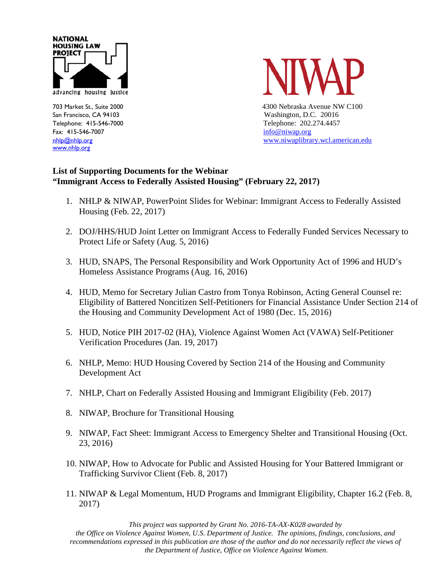

Fax: 415-546-7007 [info@niwap.org](mailto:info@niwap.org) [www.nhlp.org](http://www.nhlp.org/)



703 Market St., Suite 2000 4300 Nebraska Avenue NW C100 San Francisco, CA 94103 Washington, D.C. 20016 Telephone: 415-546-7000 Telephone: 202.274.4457 [nhlp@nhlp.org](mailto:nhlp@nhlp.org) [www.niwaplibrary.wcl.american.edu](http://www.niwaplibrary.wcl.american.edu/)

## **List of Supporting Documents for the Webinar "Immigrant Access to Federally Assisted Housing" (February 22, 2017)**

- 1. NHLP & NIWAP, PowerPoint Slides for Webinar: Immigrant Access to Federally Assisted Housing (Feb. 22, 2017)
- 2. DOJ/HHS/HUD Joint Letter on Immigrant Access to Federally Funded Services Necessary to Protect Life or Safety (Aug. 5, 2016)
- 3. HUD, SNAPS, The Personal Responsibility and Work Opportunity Act of 1996 and HUD's Homeless Assistance Programs (Aug. 16, 2016)
- 4. HUD, Memo for Secretary Julian Castro from Tonya Robinson, Acting General Counsel re: Eligibility of Battered Noncitizen Self-Petitioners for Financial Assistance Under Section 214 of the Housing and Community Development Act of 1980 (Dec. 15, 2016)
- 5. HUD, Notice PIH 2017-02 (HA), Violence Against Women Act (VAWA) Self-Petitioner Verification Procedures (Jan. 19, 2017)
- 6. NHLP, Memo: HUD Housing Covered by Section 214 of the Housing and Community Development Act
- 7. NHLP, Chart on Federally Assisted Housing and Immigrant Eligibility (Feb. 2017)
- 8. NIWAP, Brochure for Transitional Housing
- 9. NIWAP, Fact Sheet: Immigrant Access to Emergency Shelter and Transitional Housing (Oct. 23, 2016)
- 10. NIWAP, How to Advocate for Public and Assisted Housing for Your Battered Immigrant or Trafficking Survivor Client (Feb. 8, 2017)
- 11. NIWAP & Legal Momentum, HUD Programs and Immigrant Eligibility, Chapter 16.2 (Feb. 8, 2017)

*This project was supported by Grant No. 2016-TA-AX-K028 awarded by the Office on Violence Against Women, U.S. Department of Justice. The opinions, findings, conclusions, and recommendations expressed in this publication are those of the author and do not necessarily reflect the views of the Department of Justice, Office on Violence Against Women.*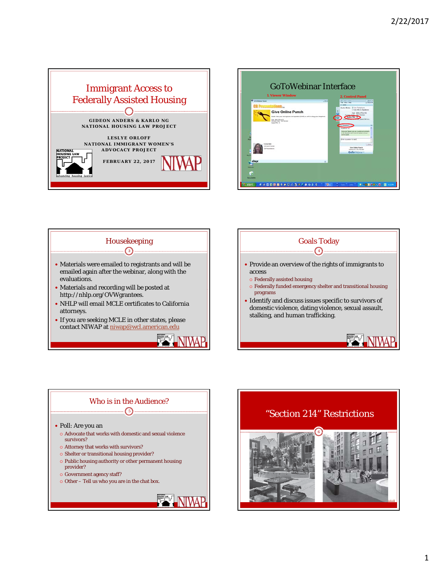









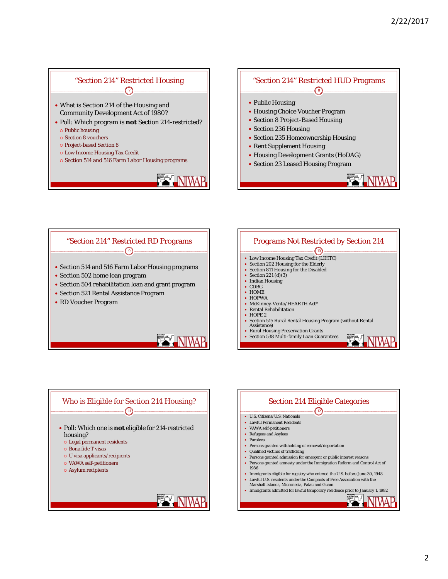## "Section 214" Restricted Housing "Section 214" Restricted HUD Programs  $\bigcap$ • Public Housing What is Section 214 of the Housing and Housing Choice Voucher Program Community Development Act of 1980? • Section 8 Project-Based Housing Poll: Which program is **not** Section 214-restricted? • Section 236 Housing  $\circ$  Public housing • Section 235 Homeownership Housing o Section 8 vouchers o Project-based Section 8 • Rent Supplement Housing Low Income Housing Tax Credit Housing Development Grants (HoDAG) o Section 514 and 516 Farm Labor Housing programs Section 23 Leased Housing Program NIWA







8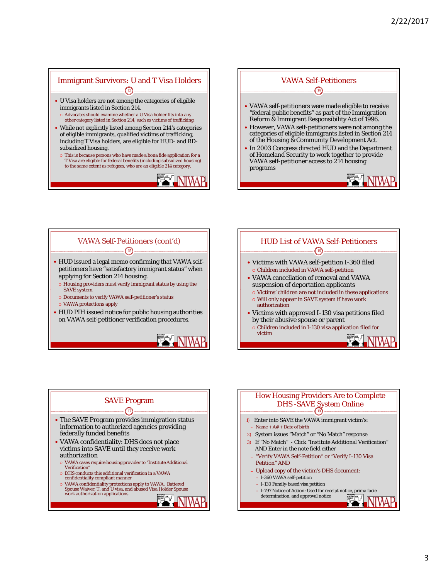## Immigrant Survivors: U and T Visa Holders U Visa holders are not among the categories of eligible immigrants listed in Section 214. Advocates should examine whether a U Visa holder fits into any other category listed in Section 214, such as victims of trafficking.  $\binom{13}{}$

- While not explicitly listed among Section 214's categories of eligible immigrants, qualified victims of trafficking, including T Visa holders, are eligible for HUD- and RDsubsidized housing.
- This is because persons who have made a bona fide application for a T Visa are eligible for federal benefits (including subsidized housing) to the same extent as refugees, who are an eligible 214 category.









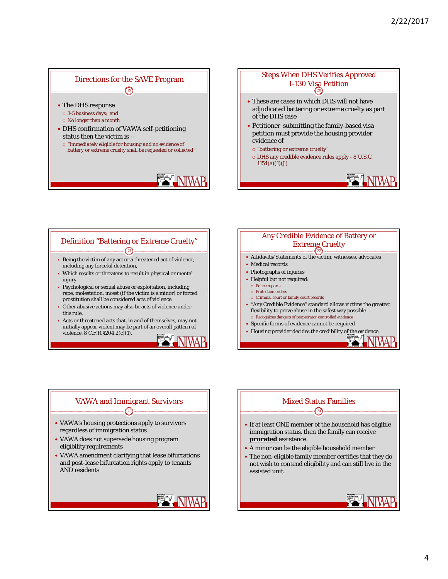







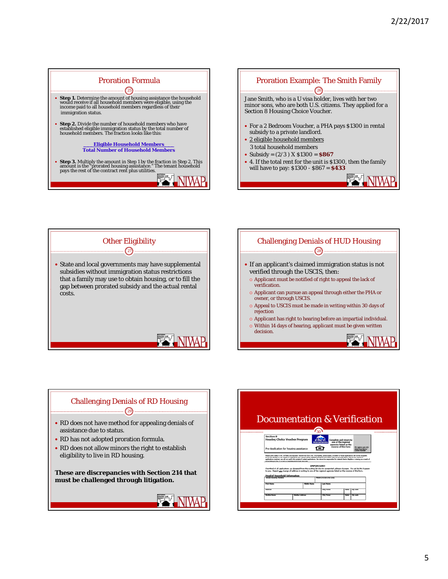





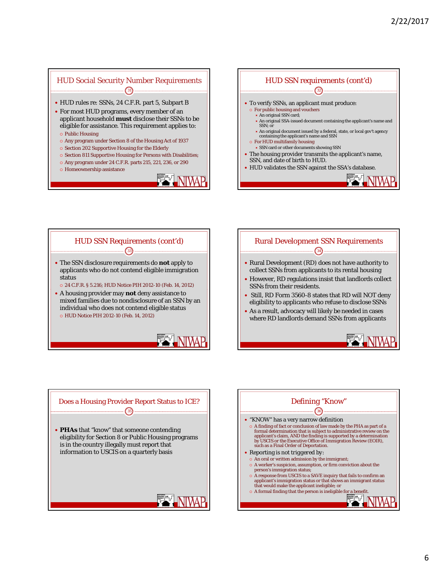## HUD Social Security Number Requirements HUD rules re: SSNs, 24 C.F.R. part 5, Subpart B For most HUD programs, every member of an applicant household **must** disclose their SSNs to be eligible for assistance. This requirement applies to:  $\binom{31}{}$  Public Housing Any program under Section 8 of the Housing Act of 1937 o Section 202 Supportive Housing for the Elderly

- $\circ$  Section 811 Supportive Housing for Persons with Disabilities;
- $\circ$  Any program under 24 C.F.R. parts 215, 221, 236, or 290
- Homeownership assistance









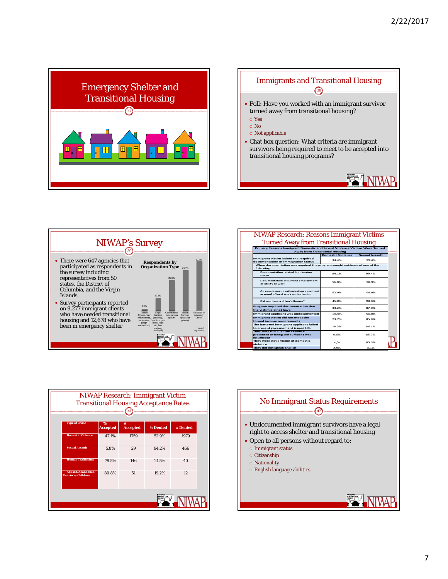





| <b>NIWAP Research: Reasons Immigrant Victims</b>                                                                 |                          |                       |  |  |  |
|------------------------------------------------------------------------------------------------------------------|--------------------------|-----------------------|--|--|--|
| <b>Turned Away from Transitional Housing</b>                                                                     |                          |                       |  |  |  |
| Primary Reasons Immigrant Domestic and Sexual Violence Victims Were Turned                                       |                          |                       |  |  |  |
| <b>Away from Transitional Housing</b>                                                                            |                          |                       |  |  |  |
|                                                                                                                  | <b>Domestic Violence</b> | <b>Sexual Assault</b> |  |  |  |
| Immigrant victim lacked the required                                                                             | 34 4%                    | 99.4%                 |  |  |  |
| documentation of immigration status<br>When documentation was required the program sought evidence of one of the |                          |                       |  |  |  |
| following:                                                                                                       |                          |                       |  |  |  |
| Documentation related immigraton<br>status                                                                       | 84 1%                    | 99.4%                 |  |  |  |
| Documentation of current employment<br>or ability to work                                                        | 56.0%                    | 98.9%                 |  |  |  |
| An employment authorization document<br>as proof of legal work authorization                                     | 52.9%                    | 98.9%                 |  |  |  |
| Did not have a driver's license*                                                                                 | 45.0%                    | 98.8%                 |  |  |  |
| Program required documentation that<br>the victim did not have                                                   | 33 2%                    | 87.0%                 |  |  |  |
| Immigrant applicant was undocumented                                                                             | 25.6%                    | 90.0%                 |  |  |  |
| Immigrant victim did not meet the<br>formal income requirements                                                  | 23.7%                    | 85.8%                 |  |  |  |
| The battered immigrant applicant failed<br>to present governement issued I.D.                                    | 18 3%                    | 86 1%                 |  |  |  |
| They were told that the evidence<br>presented of being self-sufficient was<br>insufficient                       | 9.0%                     | 85 7%                 |  |  |  |
| They were not a victim of domestic<br>violence                                                                   | n/a                      | 85.6%                 |  |  |  |
| They did not speak English                                                                                       | 2.9%                     | 3.1%                  |  |  |  |

| <b>NIWAP Research: Immigrant Victim</b><br><b>Transitional Housing Acceptance Rates</b> |                         |                      |          |          |
|-----------------------------------------------------------------------------------------|-------------------------|----------------------|----------|----------|
| <b>Type of Crime</b>                                                                    | $\%$<br><b>Accepted</b> | #<br><b>Accepted</b> | % Denied | # Denied |
| <b>Domestic Violence</b>                                                                | 47.1%                   | 1759                 | 52.9%    | 1979     |
| <b>Sexual Assault</b>                                                                   | 5.8%                    | 29                   | 94.2%    | 466      |
| <b>Human Trafficking</b>                                                                | 78.5%                   | 146                  | 21.5%    | 40       |
| Abused/Abandoned/<br><b>Run Away Children</b>                                           | 80.8%                   | 51                   | 19.2%    | 12       |
|                                                                                         |                         |                      |          |          |

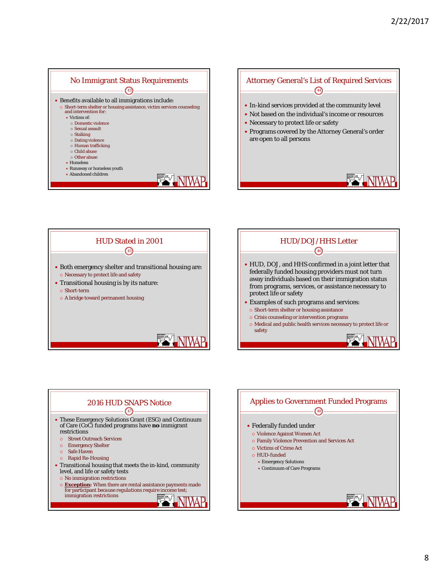





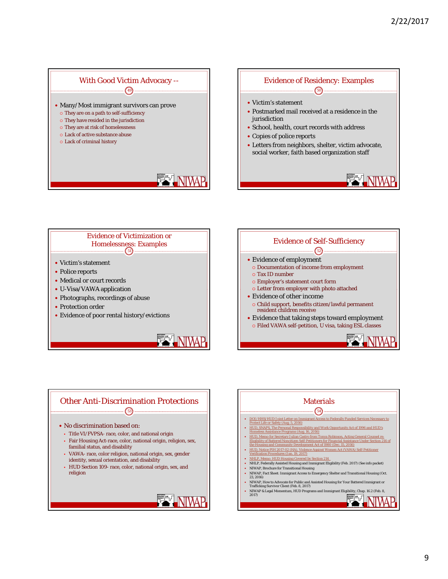